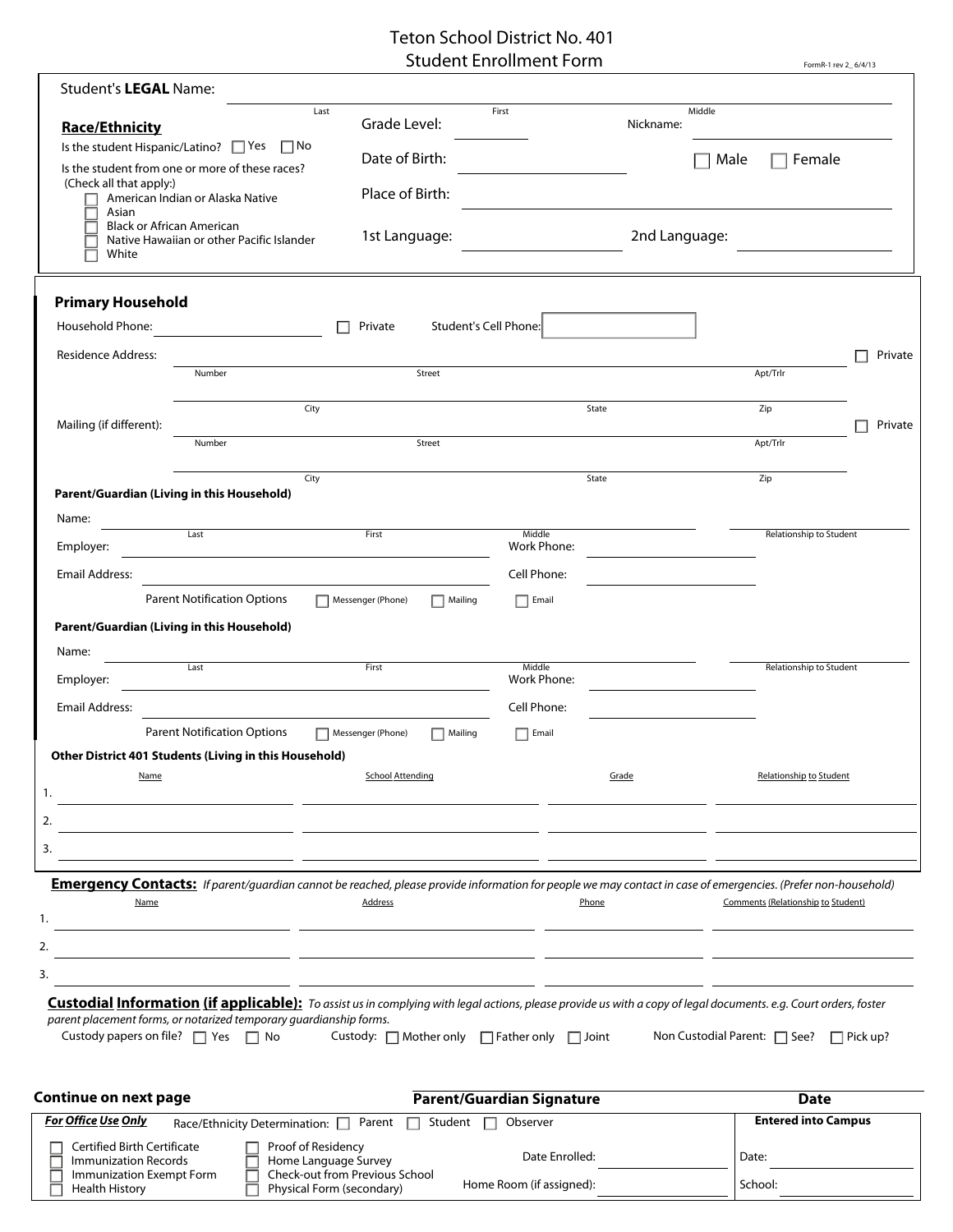## Teton School District No. 401 Student Enrollment Form

|                                                                                                                                                                                                                                                                                               |                                                                     | Student Enrollment Form   | FormR-1 rev 2_6/4/13                                        |
|-----------------------------------------------------------------------------------------------------------------------------------------------------------------------------------------------------------------------------------------------------------------------------------------------|---------------------------------------------------------------------|---------------------------|-------------------------------------------------------------|
| Student's LEGAL Name:                                                                                                                                                                                                                                                                         |                                                                     |                           |                                                             |
| <b>Race/Ethnicity</b><br>Is the student Hispanic/Latino? $\Box$ Yes $\Box$ No                                                                                                                                                                                                                 | Last<br>Grade Level:                                                | First<br>Nickname:        | Middle                                                      |
| Is the student from one or more of these races?                                                                                                                                                                                                                                               | Date of Birth:                                                      |                           | Male<br>Female                                              |
| (Check all that apply:)<br>American Indian or Alaska Native                                                                                                                                                                                                                                   | Place of Birth:                                                     |                           |                                                             |
| Asian<br><b>Black or African American</b><br>Native Hawaiian or other Pacific Islander<br>White                                                                                                                                                                                               | 1st Language:                                                       | 2nd Language:             |                                                             |
| <b>Primary Household</b>                                                                                                                                                                                                                                                                      |                                                                     |                           |                                                             |
| Household Phone:                                                                                                                                                                                                                                                                              | Student's Cell Phone:<br>Private                                    |                           |                                                             |
| <b>Residence Address:</b>                                                                                                                                                                                                                                                                     |                                                                     |                           | Private                                                     |
| Number                                                                                                                                                                                                                                                                                        | Street                                                              |                           | Apt/Trlr                                                    |
|                                                                                                                                                                                                                                                                                               | City                                                                | State                     | Zip                                                         |
| Mailing (if different):                                                                                                                                                                                                                                                                       |                                                                     |                           | Private                                                     |
| Number                                                                                                                                                                                                                                                                                        | Street                                                              |                           | Apt/Trlr                                                    |
|                                                                                                                                                                                                                                                                                               | City                                                                | State                     | Zip                                                         |
| Parent/Guardian (Living in this Household)                                                                                                                                                                                                                                                    |                                                                     |                           |                                                             |
| Name:<br>Last                                                                                                                                                                                                                                                                                 | First                                                               | Middle                    | Relationship to Student                                     |
| Employer:                                                                                                                                                                                                                                                                                     | <u> 1989 - Johann Stein, mars an deus Amerikaansk kommunister (</u> | Work Phone:               |                                                             |
| <b>Email Address:</b>                                                                                                                                                                                                                                                                         |                                                                     | Cell Phone:               | the control of the control of the control of the control of |
| <b>Parent Notification Options</b>                                                                                                                                                                                                                                                            | Messenger (Phone)<br>$\Box$ Mailing                                 | $\Box$ Email              |                                                             |
| Parent/Guardian (Living in this Household)                                                                                                                                                                                                                                                    |                                                                     |                           |                                                             |
| Name:<br>$\overline{Last}$                                                                                                                                                                                                                                                                    | First                                                               | Middle                    | Relationship to Student                                     |
| Employer:                                                                                                                                                                                                                                                                                     |                                                                     | Work Phone:               |                                                             |
| <b>Email Address:</b>                                                                                                                                                                                                                                                                         |                                                                     | Cell Phone:               |                                                             |
| <b>Parent Notification Options</b>                                                                                                                                                                                                                                                            | $\Box$ Mailing<br>Messenger (Phone)                                 | $\Box$ Email              |                                                             |
| Other District 401 Students (Living in this Household)                                                                                                                                                                                                                                        |                                                                     |                           |                                                             |
| Name<br>1.                                                                                                                                                                                                                                                                                    | <b>School Attending</b>                                             | Grade                     | Relationship to Student                                     |
| 2.                                                                                                                                                                                                                                                                                            |                                                                     |                           |                                                             |
| 3.                                                                                                                                                                                                                                                                                            |                                                                     |                           |                                                             |
|                                                                                                                                                                                                                                                                                               |                                                                     |                           |                                                             |
| Emergency Contacts: If parent/guardian cannot be reached, please provide information for people we may contact in case of emergencies. (Prefer non-household)<br>Name<br>1.<br><u> 1989 - Jan Barnett, mars et al. (b. 1989)</u>                                                              | <b>Address</b>                                                      | Phone                     | Comments (Relationship to Student)                          |
| 2.                                                                                                                                                                                                                                                                                            |                                                                     |                           |                                                             |
| 3.                                                                                                                                                                                                                                                                                            | <u> 1989 - Andrea Stadt Brander, amerikansk politiker (d. 1989)</u> |                           |                                                             |
| <b>Custodial Information (if applicable):</b> To assist us in complying with legal actions, please provide us with a copy of legal documents. e.g. Court orders, foster<br>parent placement forms, or notarized temporary guardianship forms.<br>Custody papers on file? $\Box$ Yes $\Box$ No | Custody: $\Box$ Mother only $\Box$ Father only $\Box$ Joint         |                           | Non Custodial Parent: □ See? □ Pick up?                     |
| Continue on next page                                                                                                                                                                                                                                                                         |                                                                     | Parent/Guardian Signature | <b>Date</b>                                                 |
| <b>For Office Use Only</b>                                                                                                                                                                                                                                                                    | Race/Ethnicity Determination: D Parent D Student D                  | Observer                  | <b>Entered into Campus</b>                                  |
| <b>Certified Birth Certificate</b>                                                                                                                                                                                                                                                            | Proof of Residency                                                  |                           |                                                             |
| Immunization Records<br>Immunization Exempt Form                                                                                                                                                                                                                                              | Home Language Survey<br>Check-out from Previous School              | Date Enrolled:            | Date:                                                       |
| <b>Health History</b>                                                                                                                                                                                                                                                                         | Physical Form (secondary)                                           | Home Room (if assigned):  | School:                                                     |